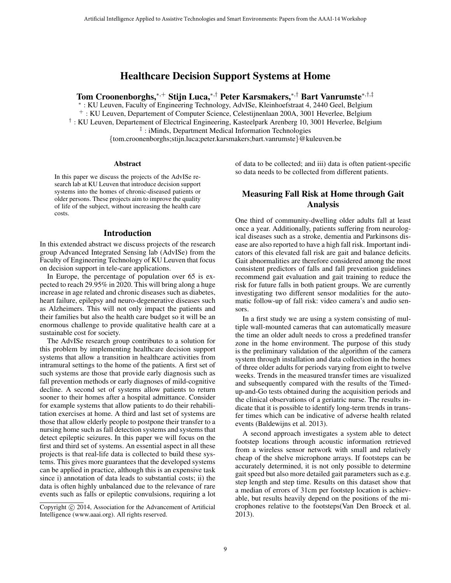# Healthcare Decision Support Systems at Home

Tom Croonenborghs,<sup>∗</sup>,<sup>+</sup> Stijn Luca,<sup>∗</sup>,† Peter Karsmakers,<sup>∗</sup>,† Bart Vanrumste<sup>∗</sup>,†,‡

∗ : KU Leuven, Faculty of Engineering Technology, AdvISe, Kleinhoefstraat 4, 2440 Geel, Belgium <sup>+</sup> : KU Leuven, Departement of Computer Science, Celestijnenlaan 200A, 3001 Heverlee, Belgium † : KU Leuven, Departement of Electrical Engineering, Kasteelpark Arenberg 10, 3001 Heverlee, Belgium ‡ : iMinds, Department Medical Information Technologies {tom.croonenborghs;stijn.luca;peter.karsmakers;bart.vanrumste}@kuleuven.be

#### **Abstract**

In this paper we discuss the projects of the AdvISe research lab at KU Leuven that introduce decision support systems into the homes of chronic-diseased patients or older persons. These projects aim to improve the quality of life of the subject, without increasing the health care costs.

### Introduction

In this extended abstract we discuss projects of the research group Advanced Integrated Sensing lab (AdvISe) from the Faculty of Engineering Technology of KU Leuven that focus on decision support in tele-care applications.

In Europe, the percentage of population over 65 is expected to reach 29.95% in 2020. This will bring along a huge increase in age related and chronic diseases such as diabetes, heart failure, epilepsy and neuro-degenerative diseases such as Alzheimers. This will not only impact the patients and their families but also the health care budget so it will be an enormous challenge to provide qualitative health care at a sustainable cost for society.

The AdvISe research group contributes to a solution for this problem by implementing healthcare decision support systems that allow a transition in healthcare activities from intramural settings to the home of the patients. A first set of such systems are those that provide early diagnosis such as fall prevention methods or early diagnoses of mild-cognitive decline. A second set of systems allow patients to return sooner to their homes after a hospital admittance. Consider for example systems that allow patients to do their rehabilitation exercises at home. A third and last set of systems are those that allow elderly people to postpone their transfer to a nursing home such as fall detection systems and systems that detect epileptic seizures. In this paper we will focus on the first and third set of systems. An essential aspect in all these projects is that real-life data is collected to build these systems. This gives more guarantees that the developed systems can be applied in practice, although this is an expensive task since i) annotation of data leads to substantial costs; ii) the data is often highly unbalanced due to the relevance of rare events such as falls or epileptic convulsions, requiring a lot

of data to be collected; and iii) data is often patient-specific so data needs to be collected from different patients.

## Measuring Fall Risk at Home through Gait Analysis

One third of community-dwelling older adults fall at least once a year. Additionally, patients suffering from neurological diseases such as a stroke, dementia and Parkinsons disease are also reported to have a high fall risk. Important indicators of this elevated fall risk are gait and balance deficits. Gait abnormalities are therefore considered among the most consistent predictors of falls and fall prevention guidelines recommend gait evaluation and gait training to reduce the risk for future falls in both patient groups. We are currently investigating two different sensor modalities for the automatic follow-up of fall risk: video camera's and audio sensors.

In a first study we are using a system consisting of multiple wall-mounted cameras that can automatically measure the time an older adult needs to cross a predefined transfer zone in the home environment. The purpose of this study is the preliminary validation of the algorithm of the camera system through installation and data collection in the homes of three older adults for periods varying from eight to twelve weeks. Trends in the measured transfer times are visualized and subsequently compared with the results of the Timedup-and-Go tests obtained during the acquisition periods and the clinical observations of a geriatric nurse. The results indicate that it is possible to identify long-term trends in transfer times which can be indicative of adverse health related events (Baldewijns et al. 2013).

A second approach investigates a system able to detect footstep locations through acoustic information retrieved from a wireless sensor network with small and relatively cheap of the shelve microphone arrays. If footsteps can be accurately determined, it is not only possible to determine gait speed but also more detailed gait parameters such as e.g. step length and step time. Results on this dataset show that a median of errors of 31cm per footstep location is achievable, but results heavily depend on the positions of the microphones relative to the footsteps(Van Den Broeck et al. 2013).

Copyright (c) 2014, Association for the Advancement of Artificial Intelligence (www.aaai.org). All rights reserved.